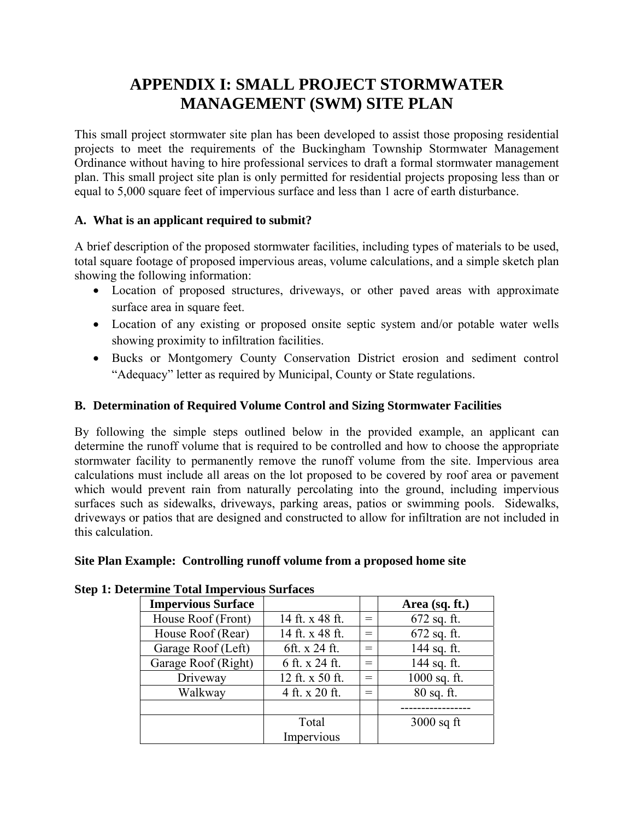# **APPENDIX I: SMALL PROJECT STORMWATER MANAGEMENT (SWM) SITE PLAN**

This small project stormwater site plan has been developed to assist those proposing residential projects to meet the requirements of the Buckingham Township Stormwater Management Ordinance without having to hire professional services to draft a formal stormwater management plan. This small project site plan is only permitted for residential projects proposing less than or equal to 5,000 square feet of impervious surface and less than 1 acre of earth disturbance.

# **A. What is an applicant required to submit?**

A brief description of the proposed stormwater facilities, including types of materials to be used, total square footage of proposed impervious areas, volume calculations, and a simple sketch plan showing the following information:

- Location of proposed structures, driveways, or other paved areas with approximate surface area in square feet.
- Location of any existing or proposed onsite septic system and/or potable water wells showing proximity to infiltration facilities.
- Bucks or Montgomery County Conservation District erosion and sediment control "Adequacy" letter as required by Municipal, County or State regulations.

# **B. Determination of Required Volume Control and Sizing Stormwater Facilities**

By following the simple steps outlined below in the provided example, an applicant can determine the runoff volume that is required to be controlled and how to choose the appropriate stormwater facility to permanently remove the runoff volume from the site. Impervious area calculations must include all areas on the lot proposed to be covered by roof area or pavement which would prevent rain from naturally percolating into the ground, including impervious surfaces such as sidewalks, driveways, parking areas, patios or swimming pools. Sidewalks, driveways or patios that are designed and constructed to allow for infiltration are not included in this calculation.

# **Site Plan Example: Controlling runoff volume from a proposed home site**

| <b>Impervious Surface</b> |                 |     | Area (sq. ft.) |
|---------------------------|-----------------|-----|----------------|
| House Roof (Front)        | 14 ft. x 48 ft. | $=$ | $672$ sq. ft.  |
| House Roof (Rear)         | 14 ft. x 48 ft. | $=$ | $672$ sq. ft.  |
| Garage Roof (Left)        | 6ft. x 24 ft.   | $=$ | 144 sq. ft.    |
| Garage Roof (Right)       | 6 ft. x 24 ft.  | $=$ | 144 sq. ft.    |
| Driveway                  | 12 ft. x 50 ft. | $=$ | $1000$ sq. ft. |
| Walkway                   | 4 ft. x 20 ft.  | $=$ | $80$ sq. ft.   |
|                           |                 |     |                |
|                           | Total           |     | $3000$ sq ft   |
|                           | Impervious      |     |                |

#### **Step 1: Determine Total Impervious Surfaces**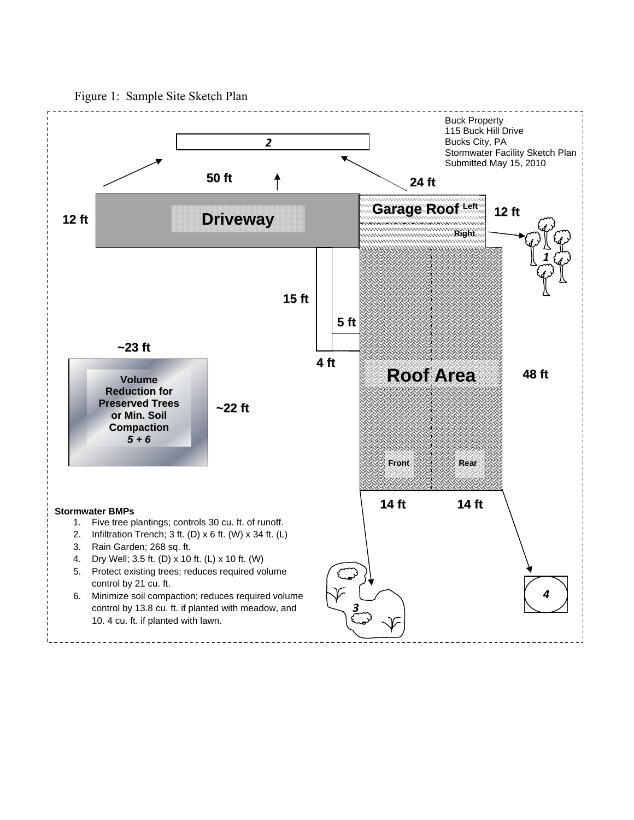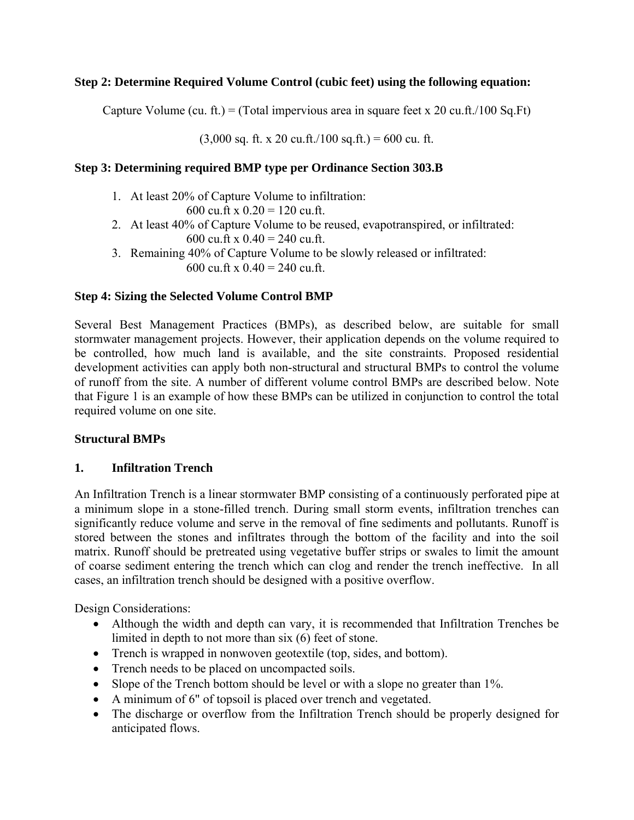# **Step 2: Determine Required Volume Control (cubic feet) using the following equation:**

Capture Volume (cu. ft.) = (Total impervious area in square feet x 20 cu.ft./100 Sq.Ft)

 $(3,000 \text{ sq. ft. x } 20 \text{ cu. ft.}/100 \text{ sq. ft.}) = 600 \text{ cu. ft.}$ 

## **Step 3: Determining required BMP type per Ordinance Section 303.B**

- 1. At least 20% of Capture Volume to infiltration: 600 cu.ft x  $0.20 = 120$  cu.ft.
- 2. At least 40% of Capture Volume to be reused, evapotranspired, or infiltrated: 600 cu.ft x  $0.40 = 240$  cu.ft.
- 3. Remaining 40% of Capture Volume to be slowly released or infiltrated: 600 cu.ft x  $0.40 = 240$  cu.ft.

## **Step 4: Sizing the Selected Volume Control BMP**

Several Best Management Practices (BMPs), as described below, are suitable for small stormwater management projects. However, their application depends on the volume required to be controlled, how much land is available, and the site constraints. Proposed residential development activities can apply both non-structural and structural BMPs to control the volume of runoff from the site. A number of different volume control BMPs are described below. Note that Figure 1 is an example of how these BMPs can be utilized in conjunction to control the total required volume on one site.

## **Structural BMPs**

## **1. Infiltration Trench**

An Infiltration Trench is a linear stormwater BMP consisting of a continuously perforated pipe at a minimum slope in a stone-filled trench. During small storm events, infiltration trenches can significantly reduce volume and serve in the removal of fine sediments and pollutants. Runoff is stored between the stones and infiltrates through the bottom of the facility and into the soil matrix. Runoff should be pretreated using vegetative buffer strips or swales to limit the amount of coarse sediment entering the trench which can clog and render the trench ineffective. In all cases, an infiltration trench should be designed with a positive overflow.

- Although the width and depth can vary, it is recommended that Infiltration Trenches be limited in depth to not more than six (6) feet of stone.
- Trench is wrapped in nonwoven geotextile (top, sides, and bottom).
- Trench needs to be placed on uncompacted soils.
- Slope of the Trench bottom should be level or with a slope no greater than 1%.
- A minimum of 6" of topsoil is placed over trench and vegetated.
- The discharge or overflow from the Infiltration Trench should be properly designed for anticipated flows.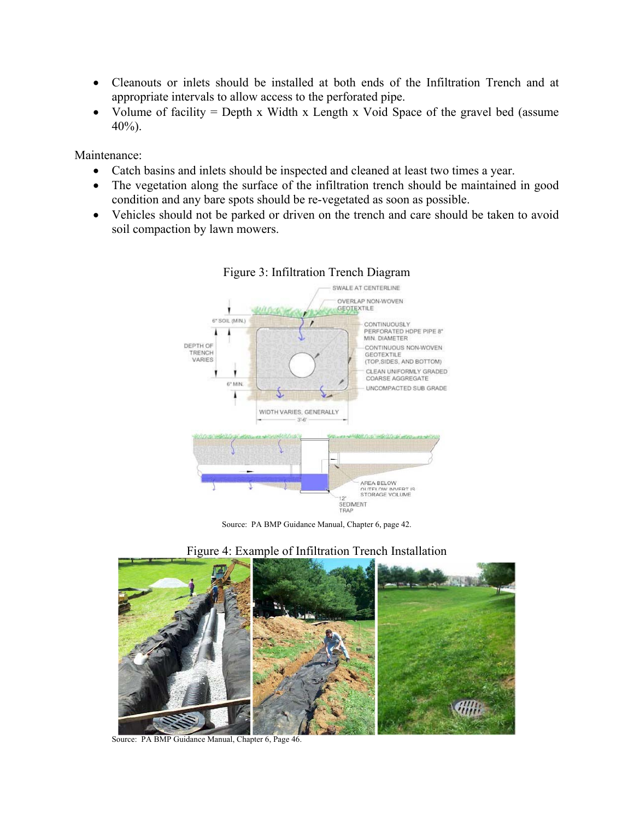- Cleanouts or inlets should be installed at both ends of the Infiltration Trench and at appropriate intervals to allow access to the perforated pipe.
- Volume of facility  $=$  Depth x Width x Length x Void Space of the gravel bed (assume  $40\%$ ).

Maintenance:

- Catch basins and inlets should be inspected and cleaned at least two times a year.
- The vegetation along the surface of the infiltration trench should be maintained in good condition and any bare spots should be re-vegetated as soon as possible.
- Vehicles should not be parked or driven on the trench and care should be taken to avoid soil compaction by lawn mowers.



#### Figure 3: Infiltration Trench Diagram

Source: PA BMP Guidance Manual, Chapter 6, page 42.



## Figure 4: Example of Infiltration Trench Installation

Source: PA BMP Guidance Manual, Chapter 6, Page 46.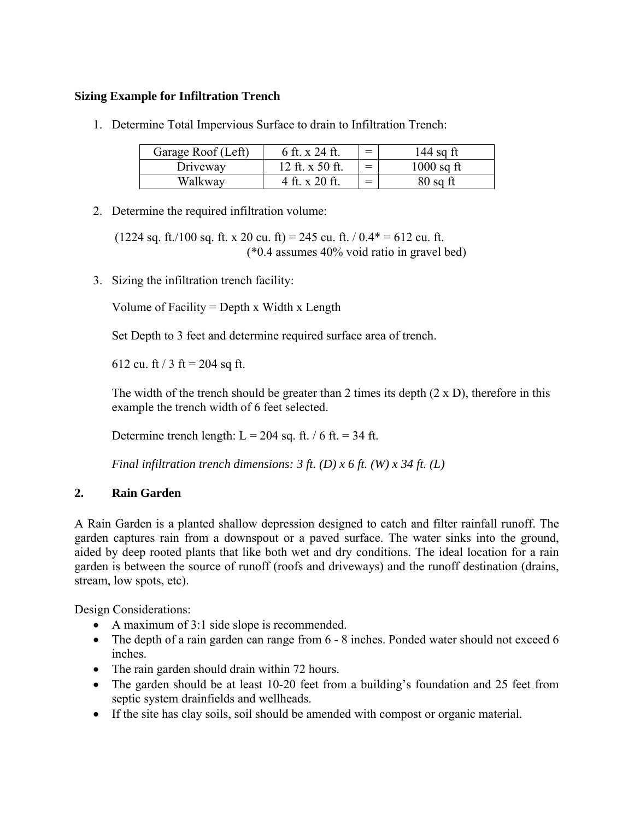# **Sizing Example for Infiltration Trench**

1. Determine Total Impervious Surface to drain to Infiltration Trench:

| Garage Roof (Left) | 6 ft. x 24 ft.  | $=$ | 144 sq ft    |
|--------------------|-----------------|-----|--------------|
| Driveway           | 12 ft. x 50 ft. | $=$ | $1000$ sq ft |
| Walkwav            | 4 ft. x 20 ft.  | $=$ | 80 sq ft     |

2. Determine the required infiltration volume:

 $(1224 \text{ sq. ft.}/100 \text{ sq. ft. x } 20 \text{ cu. ft}) = 245 \text{ cu. ft.} / 0.4* = 612 \text{ cu. ft.}$ (\*0.4 assumes 40% void ratio in gravel bed)

3. Sizing the infiltration trench facility:

Volume of Facility = Depth x Width x Length

Set Depth to 3 feet and determine required surface area of trench.

612 cu. ft / 3 ft = 204 sq ft.

The width of the trench should be greater than 2 times its depth (2 x D), therefore in this example the trench width of 6 feet selected.

Determine trench length:  $L = 204$  sq. ft. / 6 ft. = 34 ft.

*Final infiltration trench dimensions: 3 ft. (D) x 6 ft. (W) x 34 ft. (L)* 

## **2. Rain Garden**

A Rain Garden is a planted shallow depression designed to catch and filter rainfall runoff. The garden captures rain from a downspout or a paved surface. The water sinks into the ground, aided by deep rooted plants that like both wet and dry conditions. The ideal location for a rain garden is between the source of runoff (roofs and driveways) and the runoff destination (drains, stream, low spots, etc).

- A maximum of 3:1 side slope is recommended.
- The depth of a rain garden can range from 6 8 inches. Ponded water should not exceed 6 inches.
- The rain garden should drain within 72 hours.
- The garden should be at least 10-20 feet from a building's foundation and 25 feet from septic system drainfields and wellheads.
- If the site has clay soils, soil should be amended with compost or organic material.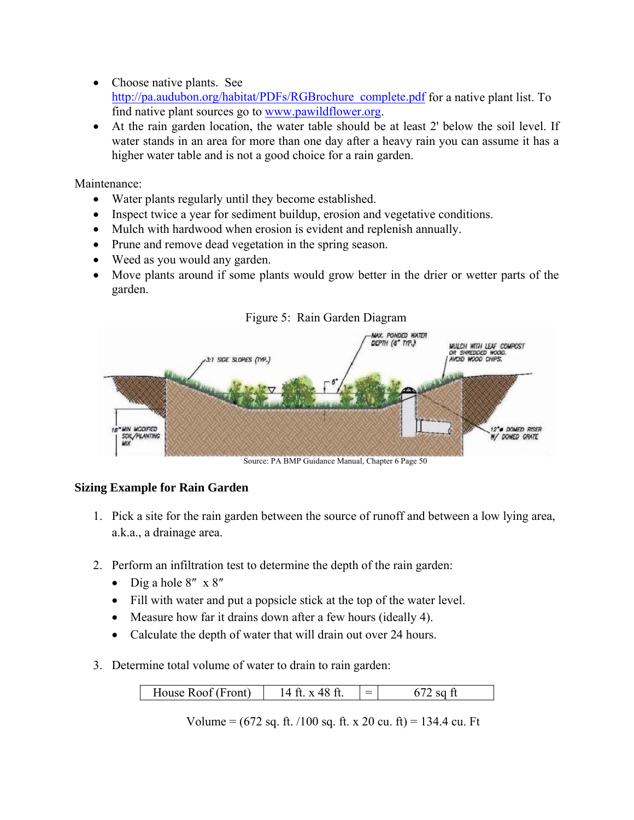- Choose native plants. See http://pa.audubon.org/habitat/PDFs/RGBrochure\_complete.pdf for a native plant list. To find native plant sources go to www.pawildflower.org.
- At the rain garden location, the water table should be at least 2' below the soil level. If water stands in an area for more than one day after a heavy rain you can assume it has a higher water table and is not a good choice for a rain garden.

Maintenance:

- Water plants regularly until they become established.
- Inspect twice a year for sediment buildup, erosion and vegetative conditions.
- Mulch with hardwood when erosion is evident and replenish annually.
- Prune and remove dead vegetation in the spring season.
- Weed as you would any garden.
- Move plants around if some plants would grow better in the drier or wetter parts of the garden.



Figure 5: Rain Garden Diagram

Source: PA BMP Guidance Manual, Chapter 6 Page 50

## **Sizing Example for Rain Garden**

- 1. Pick a site for the rain garden between the source of runoff and between a low lying area, a.k.a., a drainage area.
- 2. Perform an infiltration test to determine the depth of the rain garden:
	- $\bullet$  Dig a hole 8" x 8"
	- Fill with water and put a popsicle stick at the top of the water level.
	- Measure how far it drains down after a few hours (ideally 4).
	- Calculate the depth of water that will drain out over 24 hours.
- 3. Determine total volume of water to drain to rain garden:

| $-70$<br>House Roof (Front)<br>x 48 ft.<br>$\blacksquare$ |  |
|-----------------------------------------------------------|--|
|-----------------------------------------------------------|--|

Volume =  $(672 \text{ sq. ft.}/100 \text{ sq. ft. x } 20 \text{ cu. ft}) = 134.4 \text{ cu. ft}$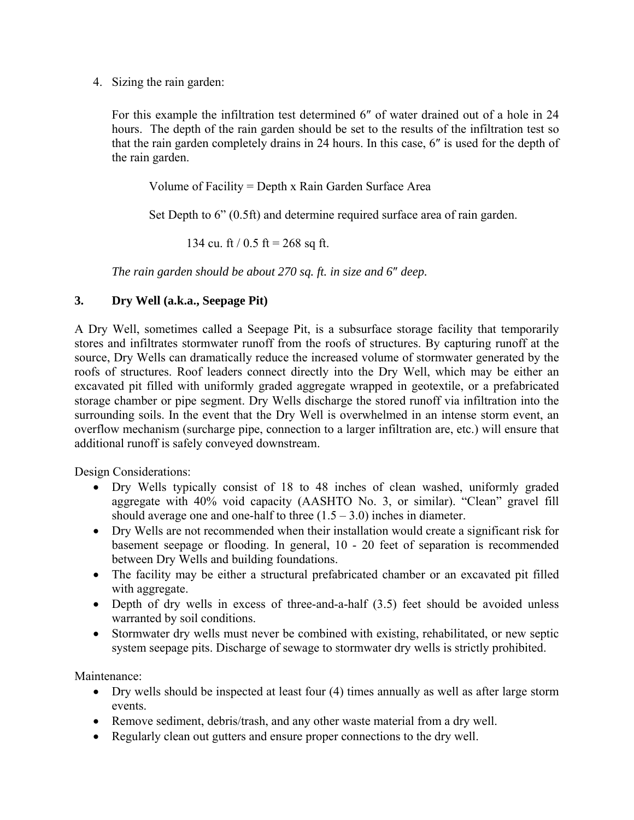4. Sizing the rain garden:

For this example the infiltration test determined 6″ of water drained out of a hole in 24 hours. The depth of the rain garden should be set to the results of the infiltration test so that the rain garden completely drains in 24 hours. In this case, 6″ is used for the depth of the rain garden.

Volume of Facility = Depth x Rain Garden Surface Area

Set Depth to 6" (0.5ft) and determine required surface area of rain garden.

134 cu. ft / 0.5 ft = 268 sq ft.

*The rain garden should be about 270 sq. ft. in size and 6*″ *deep.* 

#### **3. Dry Well (a.k.a., Seepage Pit)**

A Dry Well, sometimes called a Seepage Pit, is a subsurface storage facility that temporarily stores and infiltrates stormwater runoff from the roofs of structures. By capturing runoff at the source, Dry Wells can dramatically reduce the increased volume of stormwater generated by the roofs of structures. Roof leaders connect directly into the Dry Well, which may be either an excavated pit filled with uniformly graded aggregate wrapped in geotextile, or a prefabricated storage chamber or pipe segment. Dry Wells discharge the stored runoff via infiltration into the surrounding soils. In the event that the Dry Well is overwhelmed in an intense storm event, an overflow mechanism (surcharge pipe, connection to a larger infiltration are, etc.) will ensure that additional runoff is safely conveyed downstream.

Design Considerations:

- Dry Wells typically consist of 18 to 48 inches of clean washed, uniformly graded aggregate with 40% void capacity (AASHTO No. 3, or similar). "Clean" gravel fill should average one and one-half to three  $(1.5 - 3.0)$  inches in diameter.
- Dry Wells are not recommended when their installation would create a significant risk for basement seepage or flooding. In general, 10 - 20 feet of separation is recommended between Dry Wells and building foundations.
- The facility may be either a structural prefabricated chamber or an excavated pit filled with aggregate.
- Depth of dry wells in excess of three-and-a-half (3.5) feet should be avoided unless warranted by soil conditions.
- Stormwater dry wells must never be combined with existing, rehabilitated, or new septic system seepage pits. Discharge of sewage to stormwater dry wells is strictly prohibited.

Maintenance<sup>.</sup>

- Dry wells should be inspected at least four (4) times annually as well as after large storm events.
- Remove sediment, debris/trash, and any other waste material from a dry well.
- Regularly clean out gutters and ensure proper connections to the dry well.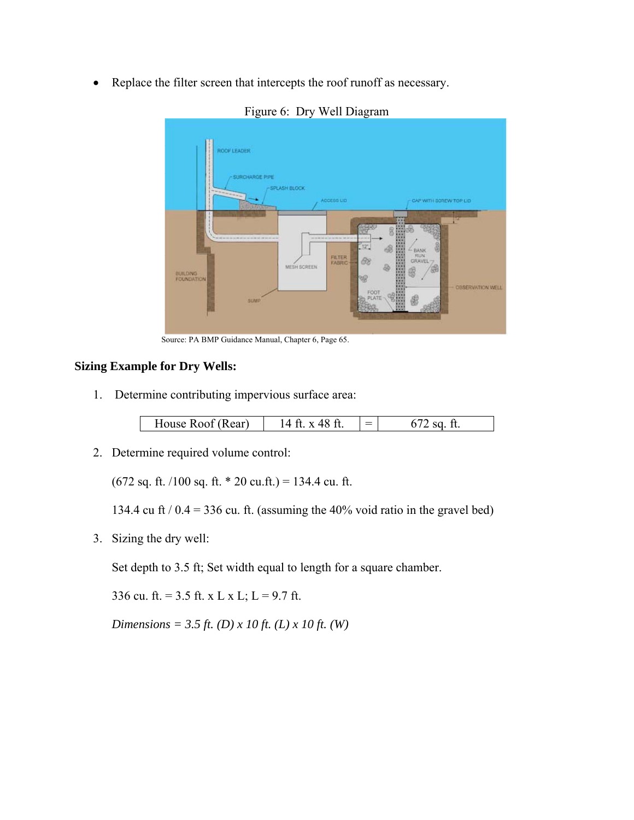Replace the filter screen that intercepts the roof runoff as necessary.



Figure 6: Dry Well Diagram

Source: PA BMP Guidance Manual, Chapter 6, Page 65.

#### **Sizing Example for Dry Wells:**

1. Determine contributing impervious surface area:

| House Roof (Rear) | x 48 ft | $=$ |  |
|-------------------|---------|-----|--|
|-------------------|---------|-----|--|

2. Determine required volume control:

(672 sq. ft. /100 sq. ft.  $*$  20 cu.ft.) = 134.4 cu. ft.

134.4 cu ft  $/ 0.4 = 336$  cu. ft. (assuming the 40% void ratio in the gravel bed)

3. Sizing the dry well:

Set depth to 3.5 ft; Set width equal to length for a square chamber.

336 cu. ft. =  $3.5$  ft. x L x L; L =  $9.7$  ft.

*Dimensions = 3.5 ft. (D) x 10 ft. (L) x 10 ft. (W)*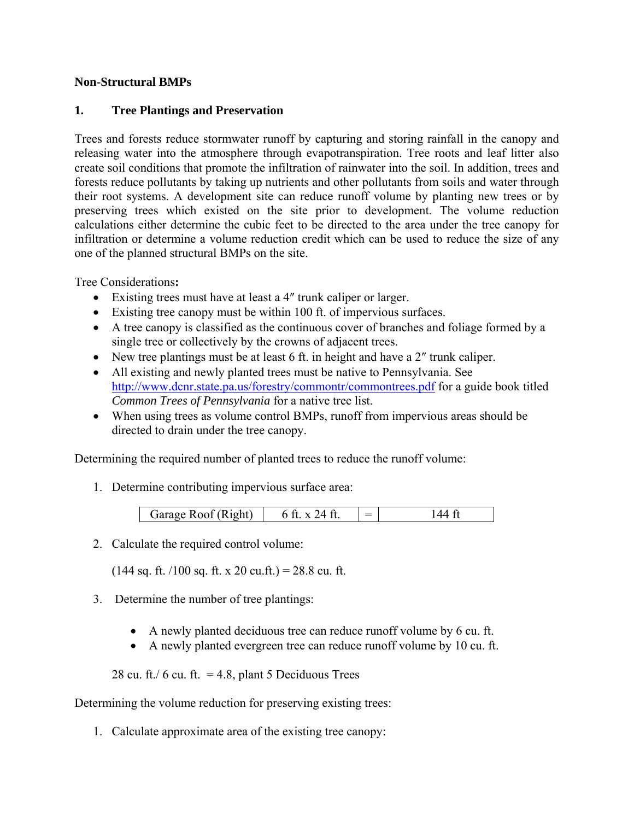#### **Non-Structural BMPs**

#### **1. Tree Plantings and Preservation**

Trees and forests reduce stormwater runoff by capturing and storing rainfall in the canopy and releasing water into the atmosphere through evapotranspiration. Tree roots and leaf litter also create soil conditions that promote the infiltration of rainwater into the soil. In addition, trees and forests reduce pollutants by taking up nutrients and other pollutants from soils and water through their root systems. A development site can reduce runoff volume by planting new trees or by preserving trees which existed on the site prior to development. The volume reduction calculations either determine the cubic feet to be directed to the area under the tree canopy for infiltration or determine a volume reduction credit which can be used to reduce the size of any one of the planned structural BMPs on the site.

Tree Considerations**:** 

- Existing trees must have at least a 4″ trunk caliper or larger.
- Existing tree canopy must be within 100 ft. of impervious surfaces.
- A tree canopy is classified as the continuous cover of branches and foliage formed by a single tree or collectively by the crowns of adjacent trees.
- New tree plantings must be at least 6 ft. in height and have a 2″ trunk caliper.
- All existing and newly planted trees must be native to Pennsylvania. See http://www.dcnr.state.pa.us/forestry/commontr/commontrees.pdf for a guide book titled *Common Trees of Pennsylvania* for a native tree list.
- When using trees as volume control BMPs, runoff from impervious areas should be directed to drain under the tree canopy.

Determining the required number of planted trees to reduce the runoff volume:

1. Determine contributing impervious surface area:

| Garage Roof (Right) | $=$ |  |
|---------------------|-----|--|

2. Calculate the required control volume:

 $(144$  sq. ft.  $/100$  sq. ft. x 20 cu.ft.) = 28.8 cu. ft.

- 3. Determine the number of tree plantings:
	- A newly planted deciduous tree can reduce runoff volume by 6 cu. ft.
	- A newly planted evergreen tree can reduce runoff volume by 10 cu. ft.

28 cu. ft./ 6 cu. ft.  $= 4.8$ , plant 5 Deciduous Trees

Determining the volume reduction for preserving existing trees:

1. Calculate approximate area of the existing tree canopy: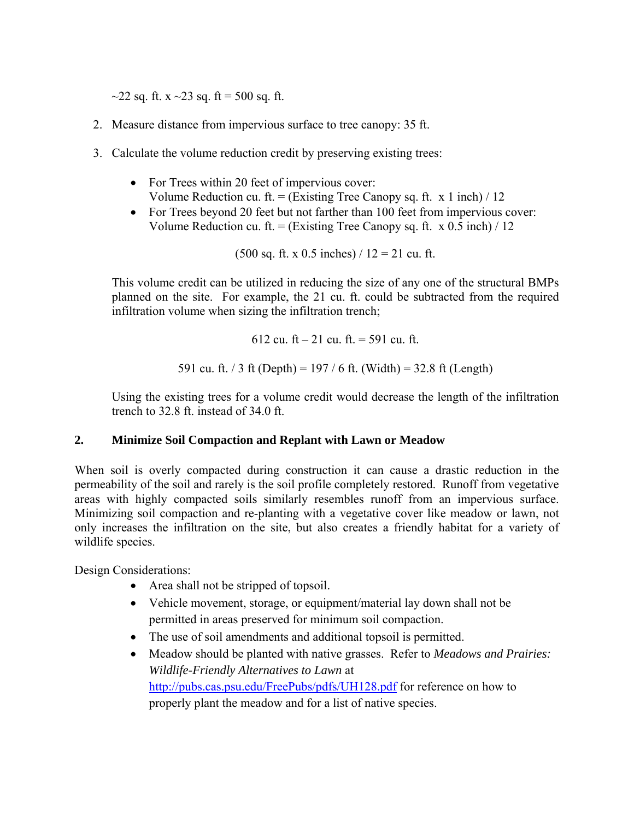$\sim$ 22 sq. ft. x  $\sim$ 23 sq. ft = 500 sq. ft.

- 2. Measure distance from impervious surface to tree canopy: 35 ft.
- 3. Calculate the volume reduction credit by preserving existing trees:
	- For Trees within 20 feet of impervious cover: Volume Reduction cu. ft. = (Existing Tree Canopy sq. ft. x 1 inch) / 12
	- For Trees beyond 20 feet but not farther than 100 feet from impervious cover: Volume Reduction cu. ft. = (Existing Tree Canopy sq. ft. x  $0.5$  inch) / 12

 $(500 \text{ sq. ft. x } 0.5 \text{ inches}) / 12 = 21 \text{ cu. ft.}$ 

This volume credit can be utilized in reducing the size of any one of the structural BMPs planned on the site. For example, the 21 cu. ft. could be subtracted from the required infiltration volume when sizing the infiltration trench;

$$
612 \text{ cu. ft} - 21 \text{ cu. ft.} = 591 \text{ cu. ft.}
$$
  
591 cu. ft. / 3 ft (Depth) = 197 / 6 ft. (Width) = 32.8 ft (Length)

Using the existing trees for a volume credit would decrease the length of the infiltration trench to 32.8 ft. instead of 34.0 ft.

## **2. Minimize Soil Compaction and Replant with Lawn or Meadow**

When soil is overly compacted during construction it can cause a drastic reduction in the permeability of the soil and rarely is the soil profile completely restored. Runoff from vegetative areas with highly compacted soils similarly resembles runoff from an impervious surface. Minimizing soil compaction and re-planting with a vegetative cover like meadow or lawn, not only increases the infiltration on the site, but also creates a friendly habitat for a variety of wildlife species.

- Area shall not be stripped of topsoil.
- Vehicle movement, storage, or equipment/material lay down shall not be permitted in areas preserved for minimum soil compaction.
- The use of soil amendments and additional topsoil is permitted.
- Meadow should be planted with native grasses. Refer to *Meadows and Prairies: Wildlife-Friendly Alternatives to Lawn* at http://pubs.cas.psu.edu/FreePubs/pdfs/UH128.pdf for reference on how to properly plant the meadow and for a list of native species.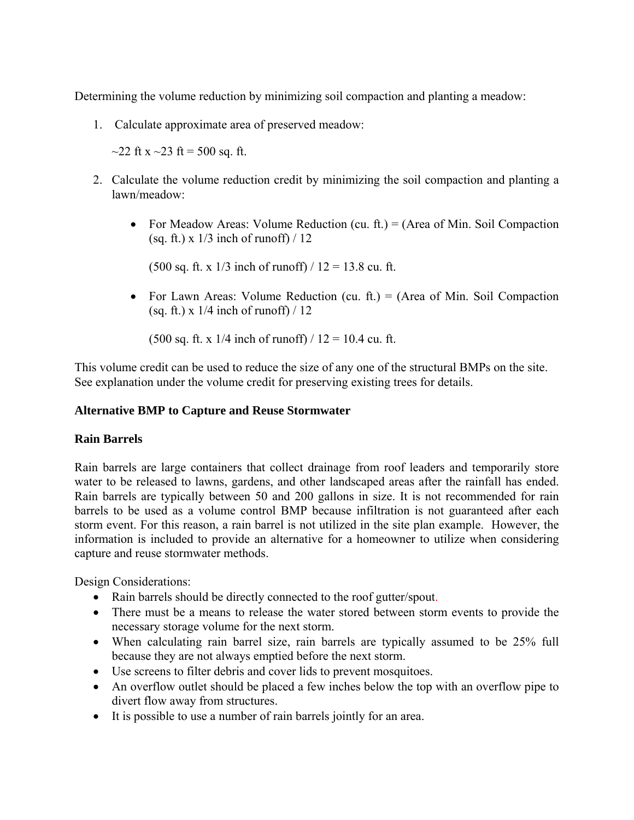Determining the volume reduction by minimizing soil compaction and planting a meadow:

1. Calculate approximate area of preserved meadow:

 $\sim$ 22 ft x  $\sim$ 23 ft = 500 sq. ft.

- 2. Calculate the volume reduction credit by minimizing the soil compaction and planting a lawn/meadow:
	- For Meadow Areas: Volume Reduction (cu. ft.) = (Area of Min. Soil Compaction (sq. ft.)  $\times$  1/3 inch of runoff) / 12

 $(500 \text{ sq. ft. x } 1/3 \text{ inch of runoff}) / 12 = 13.8 \text{ cu. ft.}$ 

• For Lawn Areas: Volume Reduction (cu. ft.) = (Area of Min. Soil Compaction (sq. ft.) x  $1/4$  inch of runoff) / 12

(500 sq. ft. x  $1/4$  inch of runoff)  $/ 12 = 10.4$  cu. ft.

This volume credit can be used to reduce the size of any one of the structural BMPs on the site. See explanation under the volume credit for preserving existing trees for details.

#### **Alternative BMP to Capture and Reuse Stormwater**

#### **Rain Barrels**

Rain barrels are large containers that collect drainage from roof leaders and temporarily store water to be released to lawns, gardens, and other landscaped areas after the rainfall has ended. Rain barrels are typically between 50 and 200 gallons in size. It is not recommended for rain barrels to be used as a volume control BMP because infiltration is not guaranteed after each storm event. For this reason, a rain barrel is not utilized in the site plan example. However, the information is included to provide an alternative for a homeowner to utilize when considering capture and reuse stormwater methods.

- Rain barrels should be directly connected to the roof gutter/spout.
- There must be a means to release the water stored between storm events to provide the necessary storage volume for the next storm.
- When calculating rain barrel size, rain barrels are typically assumed to be 25% full because they are not always emptied before the next storm.
- Use screens to filter debris and cover lids to prevent mosquitoes.
- An overflow outlet should be placed a few inches below the top with an overflow pipe to divert flow away from structures.
- It is possible to use a number of rain barrels jointly for an area.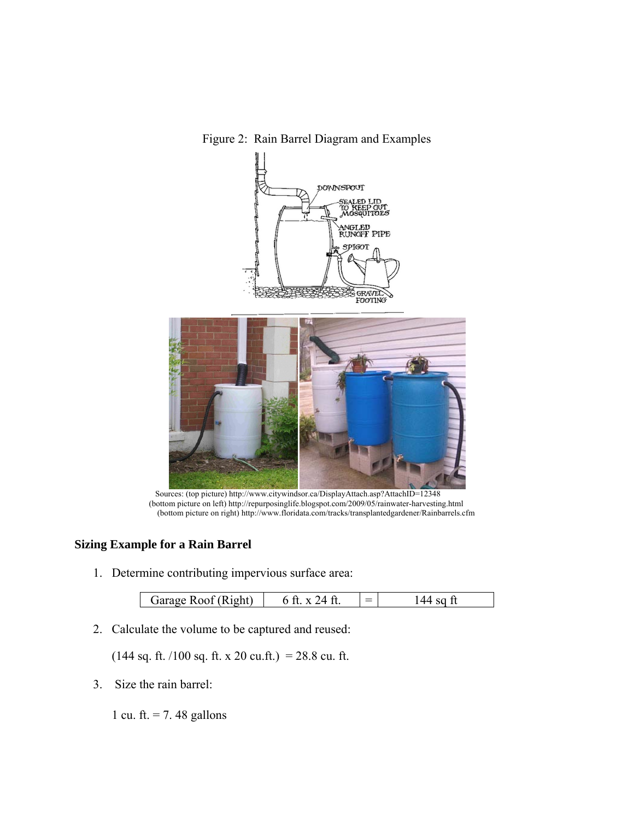Figure 2: Rain Barrel Diagram and Examples



 Sources: (top picture) http://www.citywindsor.ca/DisplayAttach.asp?AttachID=12348 (bottom picture on left) http://repurposinglife.blogspot.com/2009/05/rainwater-harvesting.html (bottom picture on right) http://www.floridata.com/tracks/transplantedgardener/Rainbarrels.cfm

# **Sizing Example for a Rain Barrel**

1. Determine contributing impervious surface area:

| $\sim$ $\sim$ $\sim$<br> oht<br>$\equiv$<br>$\sqrt{3}$ rara $9^\circ$<br>$-$ |
|------------------------------------------------------------------------------|
|------------------------------------------------------------------------------|

2. Calculate the volume to be captured and reused:

 $(144 \text{ sq. ft.}/100 \text{ sq. ft. x } 20 \text{ cu. ft.}) = 28.8 \text{ cu. ft.}$ 

3. Size the rain barrel:

1 cu. ft.  $= 7.48$  gallons